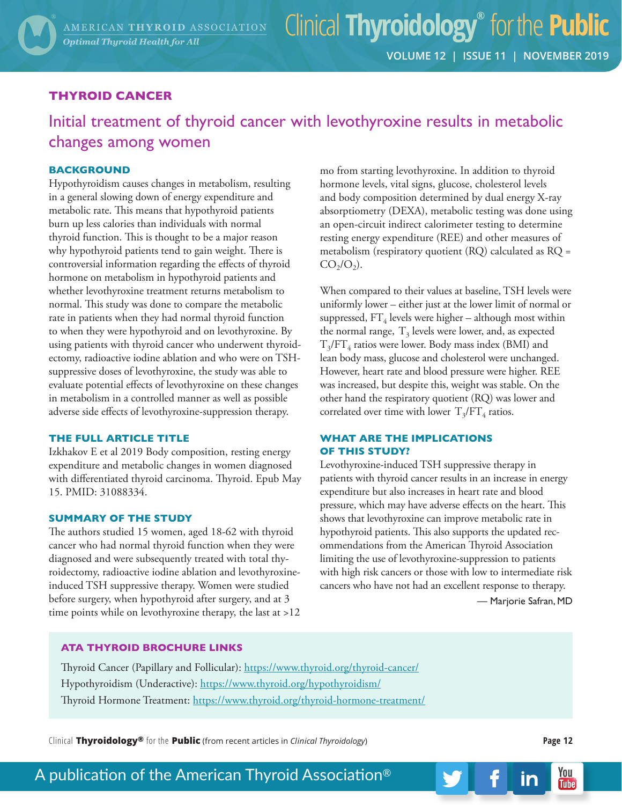## **THYROID CANCER**

Initial treatment of thyroid cancer with levothyroxine results in metabolic changes among women

## **BACKGROUND**

Hypothyroidism causes changes in metabolism, resulting in a general slowing down of energy expenditure and metabolic rate. This means that hypothyroid patients burn up less calories than individuals with normal thyroid function. This is thought to be a major reason why hypothyroid patients tend to gain weight. There is controversial information regarding the effects of thyroid hormone on metabolism in hypothyroid patients and whether levothyroxine treatment returns metabolism to normal. This study was done to compare the metabolic rate in patients when they had normal thyroid function to when they were hypothyroid and on levothyroxine. By using patients with thyroid cancer who underwent thyroidectomy, radioactive iodine ablation and who were on TSHsuppressive doses of levothyroxine, the study was able to evaluate potential effects of levothyroxine on these changes in metabolism in a controlled manner as well as possible adverse side effects of levothyroxine-suppression therapy.

## **THE FULL ARTICLE TITLE**

Izkhakov E et al 2019 Body composition, resting energy expenditure and metabolic changes in women diagnosed with differentiated thyroid carcinoma. Thyroid. Epub May 15. PMID: 31088334.

#### **SUMMARY OF THE STUDY**

The authors studied 15 women, aged 18-62 with thyroid cancer who had normal thyroid function when they were diagnosed and were subsequently treated with total thyroidectomy, radioactive iodine ablation and levothyroxineinduced TSH suppressive therapy. Women were studied before surgery, when hypothyroid after surgery, and at 3 time points while on levothyroxine therapy, the last at >12

mo from starting levothyroxine. In addition to thyroid hormone levels, vital signs, glucose, cholesterol levels and body composition determined by dual energy X-ray absorptiometry (DEXA), metabolic testing was done using an open-circuit indirect calorimeter testing to determine resting energy expenditure (REE) and other measures of metabolism (respiratory quotient (RQ) calculated as RQ =  $CO<sub>2</sub>/O<sub>2</sub>$ ).

When compared to their values at baseline, TSH levels were uniformly lower – either just at the lower limit of normal or suppressed,  $FT_4$  levels were higher – although most within the normal range,  $T_3$  levels were lower, and, as expected  $T<sub>3</sub>/FT<sub>4</sub>$  ratios were lower. Body mass index (BMI) and lean body mass, glucose and cholesterol were unchanged. However, heart rate and blood pressure were higher. REE was increased, but despite this, weight was stable. On the other hand the respiratory quotient (RQ) was lower and correlated over time with lower  $T_3/FT_4$  ratios.

### **WHAT ARE THE IMPLICATIONS OF THIS STUDY?**

Levothyroxine-induced TSH suppressive therapy in patients with thyroid cancer results in an increase in energy expenditure but also increases in heart rate and blood pressure, which may have adverse effects on the heart. This shows that levothyroxine can improve metabolic rate in hypothyroid patients. This also supports the updated recommendations from the American Thyroid Association limiting the use of levothyroxine-suppression to patients with high risk cancers or those with low to intermediate risk cancers who have not had an excellent response to therapy.

— Marjorie Safran, MD

## **ATA THYROID BROCHURE LINKS**

Thyroid Cancer (Papillary and Follicular): https://www.thyroid.org/thyroid-cancer/ Hypothyroidism (Underactive): https://www.thyroid.org/hypothyroidism/ Thyroid Hormone Treatment: https://www.thyroid.org/thyroid-hormone-treatment/

Clinical **Thyroidology®** for the **Public** (from recent articles in *Clinical Thyroidology*) **Page 12**

in

## A publication of the American Thyroid Association®

You

**Tube**